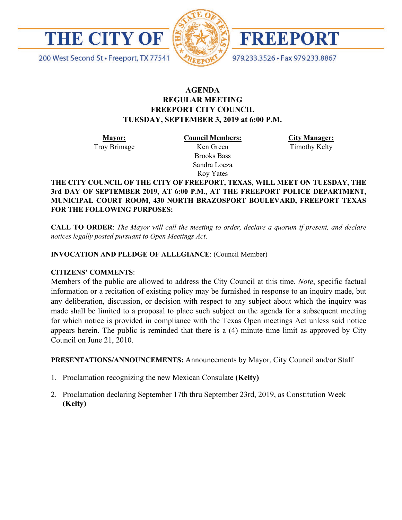

200 West Second St · Freeport, TX 77541



FREEPORT

979.233.3526 · Fax 979.233.8867

# **AGENDA REGULAR MEETING FREEPORT CITY COUNCIL TUESDAY, SEPTEMBER 3, 2019 at 6:00 P.M.**

**Mayor:** Troy Brimage **Council Members:** Ken Green

> Brooks Bass Sandra Loeza Roy Yates

**City Manager:**

Timothy Kelty

**THE CITY COUNCIL OF THE CITY OF FREEPORT, TEXAS, WILL MEET ON TUESDAY, THE 3rd DAY OF SEPTEMBER 2019, AT 6:00 P.M., AT THE FREEPORT POLICE DEPARTMENT, MUNICIPAL COURT ROOM, 430 NORTH BRAZOSPORT BOULEVARD, FREEPORT TEXAS FOR THE FOLLOWING PURPOSES:**

**CALL TO ORDER**: *The Mayor will call the meeting to order, declare a quorum if present, and declare notices legally posted pursuant to Open Meetings Act*.

## **INVOCATION AND PLEDGE OF ALLEGIANCE**: (Council Member)

## **CITIZENS' COMMENTS**:

Members of the public are allowed to address the City Council at this time. *Note*, specific factual information or a recitation of existing policy may be furnished in response to an inquiry made, but any deliberation, discussion, or decision with respect to any subject about which the inquiry was made shall be limited to a proposal to place such subject on the agenda for a subsequent meeting for which notice is provided in compliance with the Texas Open meetings Act unless said notice appears herein. The public is reminded that there is a (4) minute time limit as approved by City Council on June 21, 2010.

**PRESENTATIONS/ANNOUNCEMENTS:** Announcements by Mayor, City Council and/or Staff

- 1. Proclamation recognizing the new Mexican Consulate **(Kelty)**
- 2. Proclamation declaring September 17th thru September 23rd, 2019, as Constitution Week **(Kelty)**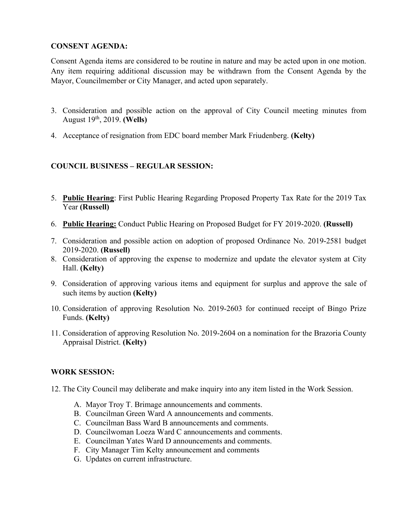# **CONSENT AGENDA:**

Consent Agenda items are considered to be routine in nature and may be acted upon in one motion. Any item requiring additional discussion may be withdrawn from the Consent Agenda by the Mayor, Councilmember or City Manager, and acted upon separately.

- 3. Consideration and possible action on the approval of City Council meeting minutes from August 19th, 2019. **(Wells)**
- 4. Acceptance of resignation from EDC board member Mark Friudenberg. **(Kelty)**

# **COUNCIL BUSINESS – REGULAR SESSION:**

- 5. **Public Hearing**: First Public Hearing Regarding Proposed Property Tax Rate for the 2019 Tax Year **(Russell)**
- 6. **Public Hearing:** Conduct Public Hearing on Proposed Budget for FY 2019-2020. **(Russell)**
- 7. Consideration and possible action on adoption of proposed Ordinance No. 2019-2581 budget 2019-2020. **(Russell)**
- 8. Consideration of approving the expense to modernize and update the elevator system at City Hall. **(Kelty)**
- 9. Consideration of approving various items and equipment for surplus and approve the sale of such items by auction **(Kelty)**
- 10. Consideration of approving Resolution No. 2019-2603 for continued receipt of Bingo Prize Funds. **(Kelty)**
- 11. Consideration of approving Resolution No. 2019-2604 on a nomination for the Brazoria County Appraisal District. **(Kelty)**

# **WORK SESSION:**

- 12. The City Council may deliberate and make inquiry into any item listed in the Work Session.
	- A. Mayor Troy T. Brimage announcements and comments.
	- B. Councilman Green Ward A announcements and comments.
	- C. Councilman Bass Ward B announcements and comments.
	- D. Councilwoman Loeza Ward C announcements and comments.
	- E. Councilman Yates Ward D announcements and comments.
	- F. City Manager Tim Kelty announcement and comments
	- G. Updates on current infrastructure.